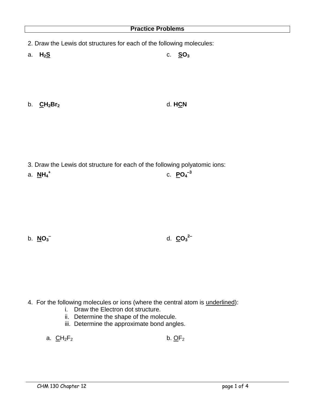- 2. Draw the Lewis dot structures for each of the following molecules:
- a. **H2S** c. **SO<sup>3</sup>**

b. **CH2Br<sup>2</sup>** d. **HCN**

- 3. Draw the Lewis dot structure for each of the following polyatomic ions:
- a. **NH<sup>4</sup> +** c. **PO<sup>4</sup> –3**

b. **NO<sup>3</sup> –**

d. **CO<sup>3</sup> 2–**

- 4. For the following molecules or ions (where the central atom is underlined):
	- i. Draw the Electron dot structure.
	- ii. Determine the shape of the molecule.
	- iii. Determine the approximate bond angles.
	- a.  $\underline{C}H_2F_2$  b.  $\underline{O}F_2$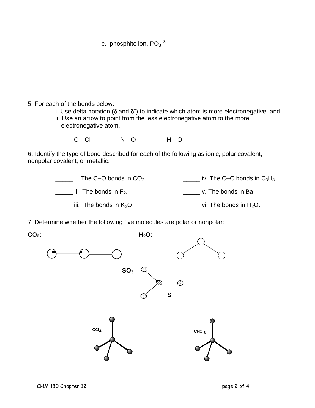$c.$  phosphite ion,  $PO_3^{-3}$ 

## 5. For each of the bonds below:

- i. Use delta notation ( $\delta$  and  $\delta$ <sup>-</sup>) to indicate which atom is more electronegative, and
- ii. Use an arrow to point from the less electronegative atom to the more electronegative atom.

| $C - C1$ | $N - Q$ | $H - O$ |
|----------|---------|---------|
|          |         |         |

6. Identify the type of bond described for each of the following as ionic, polar covalent, nonpolar covalent, or metallic.

| i. The C-O bonds in $CO2$ . | iv. The C–C bonds in $C_3H_8$ |
|-----------------------------|-------------------------------|
| ii. The bonds in $F_2$ .    | v. The bonds in Ba.           |
| iii. The bonds in $K_2O$ .  | vi. The bonds in $H_2O$ .     |

7. Determine whether the following five molecules are polar or nonpolar:

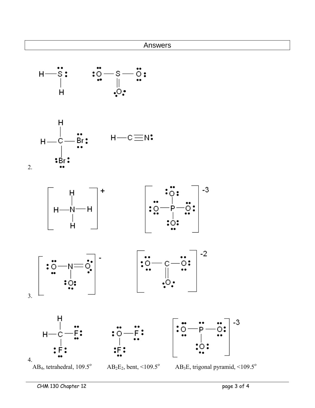



2.